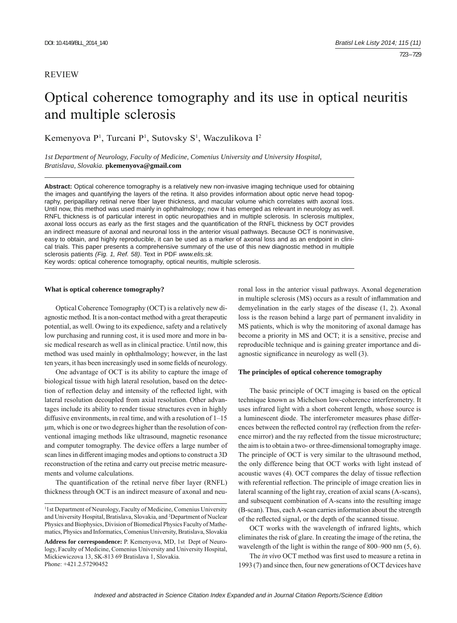# REVIEW

# Optical coherence tomography and its use in optical neuritis and multiple sclerosis

Kemenyova P<sup>1</sup>, Turcani P<sup>1</sup>, Sutovsky S<sup>1</sup>, Waczulikova I<sup>2</sup>

*1st Department of Neurology, Faculty of Medicine, Comenius University and University Hospital, Bratislava, Slovakia.* **pkemenyova@gmail.com**

**Abstract:** Optical coherence tomography is a relatively new non-invasive imaging technique used for obtaining the images and quantifying the layers of the retina. It also provides information about optic nerve head topography, peripapillary retinal nerve fiber layer thickness, and macular volume which correlates with axonal loss. Until now, this method was used mainly in ophthalmology; now it has emerged as relevant in neurology as well. RNFL thickness is of particular interest in optic neuropathies and in multiple sclerosis. In sclerosis multiplex, axonal loss occurs as early as the first stages and the quantification of the RNFL thickness by OCT provides an indirect measure of axonal and neuronal loss in the anterior visual pathways. Because OCT is noninvasive, easy to obtain, and highly reproducible, it can be used as a marker of axonal loss and as an endpoint in clinical trials. This paper presents a comprehensive summary of the use of this new diagnostic method in multiple sclerosis patients *(Fig. 1, Ref. 58)*. Text in PDF *www.elis.sk.*

Key words: optical coherence tomography, optical neuritis, multiple sclerosis.

#### **What is optical coherence tomography?**

Optical Coherence Tomography (OCT) is a relatively new diagnostic method. It is a non-contact method with a great therapeutic potential, as well. Owing to its expedience, safety and a relatively low purchasing and running cost, it is used more and more in basic medical research as well as in clinical practice. Until now, this method was used mainly in ophthalmology; however, in the last ten years, it has been increasingly used in some fields of neurology.

One advantage of OCT is its ability to capture the image of biological tissue with high lateral resolution, based on the detection of reflection delay and intensity of the reflected light, with lateral resolution decoupled from axial resolution. Other advantages include its ability to render tissue structures even in highly diffusive environments, in real time, and with a resolution of 1–15 μm, which is one or two degrees higher than the resolution of conventional imaging methods like ultrasound, magnetic resonance and computer tomography. The device offers a large number of scan lines in different imaging modes and options to construct a 3D reconstruction of the retina and carry out precise metric measurements and volume calculations.

The quantification of the retinal nerve fiber layer (RNFL) thickness through OCT is an indirect measure of axonal and neu-

ronal loss in the anterior visual pathways. Axonal degeneration in multiple sclerosis (MS) occurs as a result of inflammation and demyelination in the early stages of the disease (1, 2). Axonal loss is the reason behind a large part of permanent invalidity in MS patients, which is why the monitoring of axonal damage has become a priority in MS and OCT; it is a sensitive, precise and reproducible technique and is gaining greater importance and diagnostic significance in neurology as well  $(3)$ .

#### **The principles of optical coherence tomography**

The basic principle of OCT imaging is based on the optical technique known as Michelson low-coherence interferometry. It uses infrared light with a short coherent length, whose source is a luminescent diode. The interferometer measures phase differences between the reflected control ray (reflection from the reference mirror) and the ray reflected from the tissue microstructure; the aim is to obtain a two- or three-dimensional tomography image. The principle of OCT is very similar to the ultrasound method, the only difference being that OCT works with light instead of acoustic waves (4). OCT compares the delay of tissue reflection with referential reflection. The principle of image creation lies in lateral scanning of the light ray, creation of axial scans (A-scans), and subsequent combination of A-scans into the resulting image (B-scan). Thus, each A-scan carries information about the strength of the reflected signal, or the depth of the scanned tissue.

OCT works with the wavelength of infrared lights, which eliminates the risk of glare. In creating the image of the retina, the wavelength of the light is within the range of 800–900 nm  $(5, 6)$ .

The *in vivo* OCT method was first used to measure a retina in 1993 (7) and since then, four new generations of OCT devices have

<sup>&</sup>lt;sup>1</sup>1st Department of Neurology, Faculty of Medicine, Comenius University and University Hospital, Bratislava, Slovakia, and 2 Department of Nuclear Physics and Biophysics, Division of Biomedical Physics Faculty of Mathematics, Physics and Informatics, Comenius University, Bratislava, Slovakia **Address for correspondence:** P. Kemenyova, MD, 1st Dept of Neurology, Faculty of Medicine, Comenius University and University Hospital, Mickiewiczova 13, SK-813 69 Bratislava 1, Slovakia. Phone: +421.2.57290452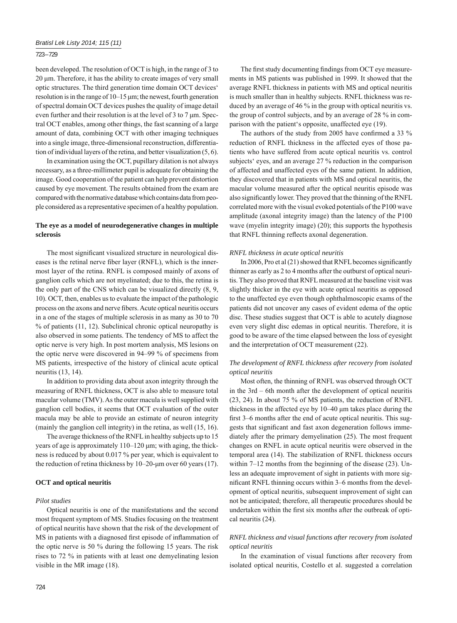## 723 – 729

been developed. The resolution of OCT is high, in the range of 3 to 20 μm. Therefore, it has the ability to create images of very small optic structures. The third generation time domain OCT devices' resolution is in the range of 10–15 μm; the newest, fourth generation of spectral domain OCT devices pushes the quality of image detail even further and their resolution is at the level of 3 to 7 μm. Spectral OCT enables, among other things, the fast scanning of a large amount of data, combining OCT with other imaging techniques into a single image, three-dimensional reconstruction, differentiation of individual layers of the retina, and better visualization (5, 6).

In examination using the OCT, pupillary dilation is not always necessary, as a three-millimeter pupil is adequate for obtaining the image. Good cooperation of the patient can help prevent distortion caused by eye movement. The results obtained from the exam are compared with the normative database which contains data from people considered as a representative specimen of a healthy population.

# **The eye as a model of neurodegenerative changes in multiple sclerosis**

The most significant visualized structure in neurological diseases is the retinal nerve fiber layer (RNFL), which is the innermost layer of the retina. RNFL is composed mainly of axons of ganglion cells which are not myelinated; due to this, the retina is the only part of the CNS which can be visualized directly (8, 9, 10). OCT, then, enables us to evaluate the impact of the pathologic process on the axons and nerve fibers. Acute optical neuritis occurs in a one of the stages of multiple sclerosis in as many as 30 to 70  $%$  of patients (11, 12). Subclinical chronic optical neuropathy is also observed in some patients. The tendency of MS to affect the optic nerve is very high. In post mortem analysis, MS lesions on the optic nerve were discovered in 94–99 % of specimens from MS patients, irrespective of the history of clinical acute optical neuritis (13, 14).

In addition to providing data about axon integrity through the measuring of RNFL thickness, OCT is also able to measure total macular volume (TMV). As the outer macula is well supplied with ganglion cell bodies, it seems that OCT evaluation of the outer macula may be able to provide an estimate of neuron integrity (mainly the ganglion cell integrity) in the retina, as well (15, 16).

The average thickness of the RNFL in healthy subjects up to 15 years of age is approximately 110–120 μm; with aging, the thickness is reduced by about 0.017 % per year, which is equivalent to the reduction of retina thickness by 10–20-μm over 60 years (17).

## **OCT and optical neuritis**

#### *Pilot studies*

Optical neuritis is one of the manifestations and the second most frequent symptom of MS. Studies focusing on the treatment of optical neuritis have shown that the risk of the development of MS in patients with a diagnosed first episode of inflammation of the optic nerve is 50 % during the following 15 years. The risk rises to 72 % in patients with at least one demyelinating lesion visible in the MR image (18).

The first study documenting findings from OCT eye measurements in MS patients was published in 1999. It showed that the average RNFL thickness in patients with MS and optical neuritis is much smaller than in healthy subjects. RNFL thickness was reduced by an average of 46 % in the group with optical neuritis vs. the group of control subjects, and by an average of 28 % in comparison with the patient's opposite, unaffected eye (19).

The authors of the study from 2005 have confirmed a 33  $\%$ reduction of RNFL thickness in the affected eyes of those patients who have suffered from acute optical neuritis vs. control subjects' eyes, and an average 27 % reduction in the comparison of affected and unaffected eyes of the same patient. In addition, they discovered that in patients with MS and optical neuritis, the macular volume measured after the optical neuritis episode was also significantly lower. They proved that the thinning of the RNFL correlated more with the visual evoked potentials of the P100 wave amplitude (axonal integrity image) than the latency of the P100 wave (myelin integrity image) (20); this supports the hypothesis that RNFL thinning reflects axonal degeneration.

#### *RNFL thickness in acute optical neuritis*

In 2006, Pro et al  $(21)$  showed that RNFL becomes significantly thinner as early as 2 to 4 months after the outburst of optical neuritis. They also proved that RNFL measured at the baseline visit was slightly thicker in the eye with acute optical neuritis as opposed to the unaffected eye even though ophthalmoscopic exams of the patients did not uncover any cases of evident edema of the optic disc. These studies suggest that OCT is able to acutely diagnose even very slight disc edemas in optical neuritis. Therefore, it is good to be aware of the time elapsed between the loss of eyesight and the interpretation of OCT measurement (22).

# *The development of RNFL thickness after recovery from isolated optical neuritis*

Most often, the thinning of RNFL was observed through OCT in the 3rd – 6th month after the development of optical neuritis (23, 24). In about 75 % of MS patients, the reduction of RNFL thickness in the affected eye by 10–40 μm takes place during the first 3–6 months after the end of acute optical neuritis. This suggests that significant and fast axon degeneration follows immediately after the primary demyelination (25). The most frequent changes on RNFL in acute optical neuritis were observed in the temporal area (14). The stabilization of RNFL thickness occurs within 7–12 months from the beginning of the disease (23). Unless an adequate improvement of sight in patients with more significant RNFL thinning occurs within 3–6 months from the development of optical neuritis, subsequent improvement of sight can not be anticipated; therefore, all therapeutic procedures should be undertaken within the first six months after the outbreak of optical neuritis (24).

# *RNFL thickness and visual functions after recovery from isolated optical neuritis*

In the examination of visual functions after recovery from isolated optical neuritis, Costello et al. suggested a correlation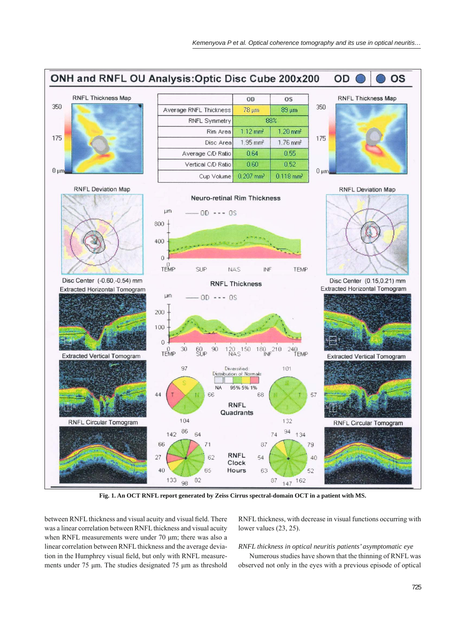

**Fig. 1. An OCT RNFL report generated by Zeiss Cirrus spectral-domain OCT in a patient with MS.**

between RNFL thickness and visual acuity and visual field. There was a linear correlation between RNFL thickness and visual acuity when RNFL measurements were under 70 μm; there was also a linear correlation between RNFL thickness and the average deviation in the Humphrey visual field, but only with RNFL measurements under 75 μm. The studies designated 75 μm as threshold RNFL thickness, with decrease in visual functions occurring with lower values (23, 25).

## *RNFL thickness in optical neuritis patients' asymptomatic eye*

Numerous studies have shown that the thinning of RNFL was observed not only in the eyes with a previous episode of optical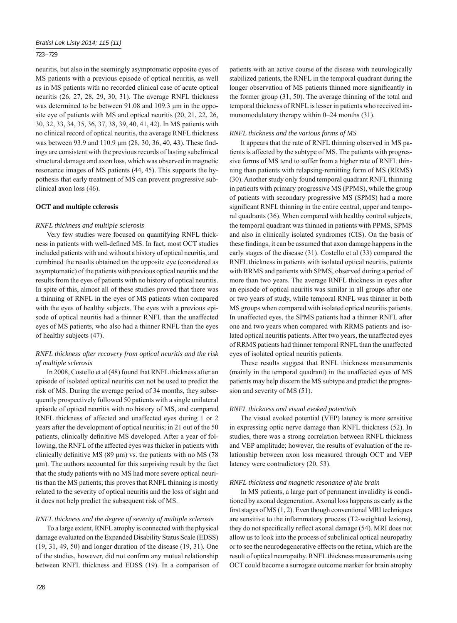## 723 – 729

neuritis, but also in the seemingly asymptomatic opposite eyes of MS patients with a previous episode of optical neuritis, as well as in MS patients with no recorded clinical case of acute optical neuritis (26, 27, 28, 29, 30, 31). The average RNFL thickness was determined to be between 91.08 and 109.3 μm in the opposite eye of patients with MS and optical neuritis (20, 21, 22, 26, 30, 32, 33, 34, 35, 36, 37, 38, 39, 40, 41, 42). In MS patients with no clinical record of optical neuritis, the average RNFL thickness was between 93.9 and 110.9  $\mu$ m (28, 30, 36, 40, 43). These findings are consistent with the previous records of lasting subclinical structural damage and axon loss, which was observed in magnetic resonance images of MS patients (44, 45). This supports the hypothesis that early treatment of MS can prevent progressive subclinical axon loss (46).

## **OCT and multiple cclerosis**

## *RNFL thickness and multiple sclerosis*

Very few studies were focused on quantifying RNFL thickness in patients with well-defined MS. In fact, most OCT studies included patients with and without a history of optical neuritis, and combined the results obtained on the opposite eye (considered as asymptomatic) of the patients with previous optical neuritis and the results from the eyes of patients with no history of optical neuritis. In spite of this, almost all of these studies proved that there was a thinning of RNFL in the eyes of MS patients when compared with the eyes of healthy subjects. The eyes with a previous episode of optical neuritis had a thinner RNFL than the unaffected eyes of MS patients, who also had a thinner RNFL than the eyes of healthy subjects (47).

## *RNFL thickness after recovery from optical neuritis and the risk of multiple sclerosis*

In 2008, Costello et al (48) found that RNFL thickness after an episode of isolated optical neuritis can not be used to predict the risk of MS. During the average period of 34 months, they subsequently prospectively followed 50 patients with a single unilateral episode of optical neuritis with no history of MS, and compared RNFL thickness of affected and unaffected eyes during 1 or 2 years after the development of optical neuritis; in 21 out of the 50 patients, clinically definitive MS developed. After a year of following, the RNFL of the affected eyes was thicker in patients with clinically definitive MS (89  $\mu$ m) vs. the patients with no MS (78 μm). The authors accounted for this surprising result by the fact that the study patients with no MS had more severe optical neuritis than the MS patients; this proves that RNFL thinning is mostly related to the severity of optical neuritis and the loss of sight and it does not help predict the subsequent risk of MS.

## *RNFL thickness and the degree of severity of multiple sclerosis*

To a large extent, RNFL atrophy is connected with the physical damage evaluated on the Expanded Disability Status Scale (EDSS) (19, 31, 49, 50) and longer duration of the disease (19, 31). One of the studies, however, did not confirm any mutual relationship between RNFL thickness and EDSS (19). In a comparison of patients with an active course of the disease with neurologically stabilized patients, the RNFL in the temporal quadrant during the longer observation of MS patients thinned more significantly in the former group (31, 50). The average thinning of the total and temporal thickness of RNFL is lesser in patients who received immunomodulatory therapy within 0–24 months (31).

## *RNFL thickness and the various forms of MS*

It appears that the rate of RNFL thinning observed in MS patients is affected by the subtype of MS. The patients with progressive forms of MS tend to suffer from a higher rate of RNFL thinning than patients with relapsing-remitting form of MS (RRMS) (30). Another study only found temporal quadrant RNFL thinning in patients with primary progressive MS (PPMS), while the group of patients with secondary progressive MS (SPMS) had a more significant RNFL thinning in the entire central, upper and temporal quadrants (36). When compared with healthy control subjects, the temporal quadrant was thinned in patients with PPMS, SPMS and also in clinically isolated syndromes (CIS). On the basis of these findings, it can be assumed that axon damage happens in the early stages of the disease (31). Costello et al (33) compared the RNFL thickness in patients with isolated optical neuritis, patients with RRMS and patients with SPMS, observed during a period of more than two years. The average RNFL thickness in eyes after an episode of optical neuritis was similar in all groups after one or two years of study, while temporal RNFL was thinner in both MS groups when compared with isolated optical neuritis patients. In unaffected eyes, the SPMS patients had a thinner RNFL after one and two years when compared with RRMS patients and isolated optical neuritis patients. After two years, the unaffected eyes of RRMS patients had thinner temporal RNFL than the unaffected eyes of isolated optical neuritis patients.

These results suggest that RNFL thickness measurements (mainly in the temporal quadrant) in the unaffected eyes of MS patients may help discern the MS subtype and predict the progression and severity of MS (51).

#### *RNFL thickness and visual evoked potentials*

The visual evoked potential (VEP) latency is more sensitive in expressing optic nerve damage than RNFL thickness (52). In studies, there was a strong correlation between RNFL thickness and VEP amplitude; however, the results of evaluation of the relationship between axon loss measured through OCT and VEP latency were contradictory (20, 53).

## *RNFL thickness and magnetic resonance of the brain*

In MS patients, a large part of permanent invalidity is conditioned by axonal degeneration. Axonal loss happens as early as the first stages of MS  $(1, 2)$ . Even though conventional MRI techniques are sensitive to the inflammatory process (T2-weighted lesions), they do not specifically reflect axonal damage (54). MRI does not allow us to look into the process of subclinical optical neuropathy or to see the neurodegenerative effects on the retina, which are the result of optical neuropathy. RNFL thickness measurements using OCT could become a surrogate outcome marker for brain atrophy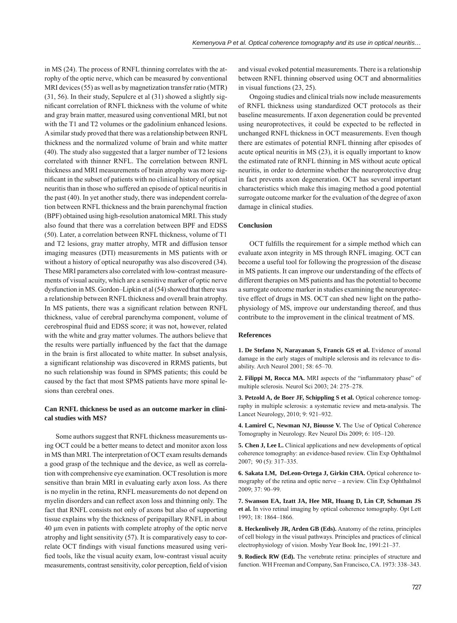in MS (24). The process of RNFL thinning correlates with the atrophy of the optic nerve, which can be measured by conventional MRI devices (55) as well as by magnetization transfer ratio (MTR) (31, 56). In their study, Sepulcre et al (31) showed a slightly significant correlation of RNFL thickness with the volume of white and gray brain matter, measured using conventional MRI, but not with the T1 and T2 volumes or the gadolinium enhanced lesions. A similar study proved that there was a relationship between RNFL thickness and the normalized volume of brain and white matter (40). The study also suggested that a larger number of T2 lesions correlated with thinner RNFL. The correlation between RNFL thickness and MRI measurements of brain atrophy was more significant in the subset of patients with no clinical history of optical neuritis than in those who suffered an episode of optical neuritis in the past (40). In yet another study, there was independent correlation between RNFL thickness and the brain parenchymal fraction (BPF) obtained using high-resolution anatomical MRI. This study also found that there was a correlation between BPF and EDSS (50). Later, a correlation between RNFL thickness, volume of T1 and T2 lesions, gray matter atrophy, MTR and diffusion tensor imaging measures (DTI) measurements in MS patients with or without a history of optical neuropathy was also discovered (34). These MRI parameters also correlated with low-contrast measurements of visual acuity, which are a sensitive marker of optic nerve dysfunction in MS. Gordon–Lipkin et al (54) showed that there was a relationship between RNFL thickness and overall brain atrophy. In MS patients, there was a significant relation between RNFL thickness, value of cerebral parenchyma component, volume of cerebrospinal fluid and EDSS score; it was not, however, related with the white and gray matter volumes. The authors believe that the results were partially influenced by the fact that the damage in the brain is first allocated to white matter. In subset analysis, a significant relationship was discovered in RRMS patients, but no such relationship was found in SPMS patients; this could be caused by the fact that most SPMS patients have more spinal lesions than cerebral ones.

# **Can RNFL thickness be used as an outcome marker in clinical studies with MS?**

Some authors suggest that RNFL thickness measurements using OCT could be a better means to detect and monitor axon loss in MS than MRI. The interpretation of OCT exam results demands a good grasp of the technique and the device, as well as correlation with comprehensive eye examination. OCT resolution is more sensitive than brain MRI in evaluating early axon loss. As there is no myelin in the retina, RNFL measurements do not depend on myelin disorders and can reflect axon loss and thinning only. The fact that RNFL consists not only of axons but also of supporting tissue explains why the thickness of peripapillary RNFL in about 40 μm even in patients with complete atrophy of the optic nerve atrophy and light sensitivity (57). It is comparatively easy to correlate OCT findings with visual functions measured using verified tools, like the visual acuity exam, low-contrast visual acuity measurements, contrast sensitivity, color perception, field of vision

and visual evoked potential measurements. There is a relationship between RNFL thinning observed using OCT and abnormalities in visual functions (23, 25).

Ongoing studies and clinical trials now include measurements of RNFL thickness using standardized OCT protocols as their baseline measurements. If axon degeneration could be prevented using neuroprotectives, it could be expected to be reflected in unchanged RNFL thickness in OCT measurements. Even though there are estimates of potential RNFL thinning after episodes of acute optical neuritis in MS (23), it is equally important to know the estimated rate of RNFL thinning in MS without acute optical neuritis, in order to determine whether the neuroprotective drug in fact prevents axon degeneration. OCT has several important characteristics which make this imaging method a good potential surrogate outcome marker for the evaluation of the degree of axon damage in clinical studies.

## **Conclusion**

OCT fulfills the requirement for a simple method which can evaluate axon integrity in MS through RNFL imaging. OCT can become a useful tool for following the progression of the disease in MS patients. It can improve our understanding of the effects of different therapies on MS patients and has the potential to become a surrogate outcome marker in studies examining the neuroprotective effect of drugs in MS. OCT can shed new light on the pathophysiology of MS, improve our understanding thereof, and thus contribute to the improvement in the clinical treatment of MS.

## **References**

**1. De Stefano N, Narayanan S, Francis GS et al.** Evidence of axonal damage in the early stages of multiple sclerosis and its relevance to disability. Arch Neurol 2001; 58: 65–70.

2. Filippi M, Rocca MA. MRI aspects of the "inflammatory phase" of multiple sclerosis. Neurol Sci 2003; 24: 275–278.

**3. Petzold A, de Boer JF, Schippling S et al.** Optical coherence tomography in multiple sclerosis: a systematic review and meta-analysis. The Lancet Neurology, 2010; 9: 921–932.

**4. Lamirel C, Newman NJ, Biousse V.** The Use of Optical Coherence Tomography in Neurology. Rev Neurol Dis 2009; 6: 105–120.

**5. Chen J, Lee L.** Clinical applications and new developments of optical coherence tomography: an evidence-based review. Clin Exp Ophthalmol 2007; 90 (5): 317–335.

**6. Sakata LM, DeLeon-Ortega J, Girkin CHA.** Optical coherence tomography of the retina and optic nerve – a review. Clin Exp Ophthalmol 2009; 37: 90–99.

**7. Swanson EA, Izatt JA, Hee MR, Huang D, Lin CP, Schuman JS et al.** In vivo retinal imaging by optical coherence tomography. Opt Lett 1993; 18: 1864–1866.

**8. Heckenlively JR, Arden GB (Eds).** Anatomy of the retina, principles of cell biology in the visual pathways. Principles and practices of clinical electrophysiology of vision. Mosby Year Book Inc, 1991:21–37.

**9. Rodieck RW (Ed).** The vertebrate retina: principles of structure and function. WH Freeman and Company, San Francisco, CA. 1973: 338–343.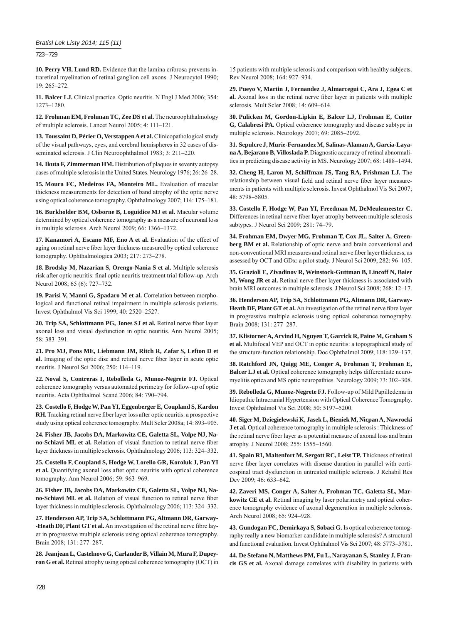## *Bratisl Lek Listy 2014; 115 (11)*

723 – 729

**10. Perry VH, Lund RD.** Evidence that the lamina cribrosa prevents intraretinal myelination of retinal ganglion cell axons. J Neurocytol 1990; 19: 265–272.

**11. Balcer LJ.** Clinical practice. Optic neuritis. N Engl J Med 2006; 354: 1273–1280.

**12. Frohman EM, Frohman TC, Zee DS et al.** The neuroophthalmology of multiple sclerosis. Lancet Neurol 2005; 4: 111–121.

**13. Toussaint D, Périer O, Verstappen A et al.** Clinicopathological study of the visual pathways, eyes, and cerebral hemispheres in 32 cases of disseminated sclerosis. J Clin Neuroophthalmol 1983; 3: 211–220.

**14. Ikuta F, Zimmerman HM.** Distribution of plaques in seventy autopsy cases of multiple sclerosis in the United States. Neurology 1976; 26: 26–28.

**15. Moura FC, Medeiros FA, Monteiro ML.** Evaluation of macular thickness measurements for detection of band atrophy of the optic nerve using optical coherence tomography. Ophthalmology 2007; 114: 175–181.

**16. Burkholder BM, Osborne B, Loguidice MJ et al.** Macular volume determined by optical coherence tomography as a measure of neuronal loss in multiple sclerosis. Arch Neurol 2009; 66: 1366–1372.

**17. Kanamori A, Escano MF, Eno A et al.** Evaluation of the effect of aging on retinal nerve fiber layer thickness measured by optical coherence tomography. Ophthalmologica 2003; 217: 273–278.

**18. Brodsky M, Nazarian S, Orengo-Nania S et al.** Multiple sclerosis risk after optic neuritis: final optic neuritis treatment trial follow-up. Arch Neurol 2008; 65 (6): 727–732.

**19. Parisi V, Manni G, Spadaro M et al.** Correlation between morphological and functional retinal impairment in multiple sclerosis patients. Invest Ophthalmol Vis Sci 1999; 40: 2520–2527.

20. Trip SA, Schlottmann PG, Jones SJ et al. Retinal nerve fiber layer axonal loss and visual dysfunction in optic neuritis. Ann Neurol 2005; 58: 383–391.

**21. Pro MJ, Pons ME, Liebmann JM, Ritch R, Zafar S, Lefton D et al.** Imaging of the optic disc and retinal nerve fiber layer in acute optic neuritis. J Neurol Sci 2006; 250: 114–119.

**22. Noval S, Contreras I, Rebolleda G, Munoz-Negrete FJ.** Optical coherence tomography versus automated perimetry for follow-up of optic neuritis. Acta Ophthalmol Scand 2006; 84: 790–794.

**23. Costello F, Hodge W, Pan YI, Eggenberger E, Coupland S, Kardon**  RH. Tracking retinal nerve fiber layer loss after optic neuritis: a prospective study using optical coherence tomography. Mult Scler 2008a; 14: 893–905.

**24. Fisher JB, Jacobs DA, Markowitz CE, Galetta SL, Volpe NJ, Na**no-Schiavi ML et al. Relation of visual function to retinal nerve fiber layer thickness in multiple sclerosis. Ophthalmology 2006; 113: 324–332.

**25. Costello F, Coupland S, Hodge W, Lorello GR, Koroluk J, Pan YI et al.** Quantifying axonal loss after optic neuritis with optical coherence tomography. Ann Neurol 2006; 59: 963–969.

**26. Fisher JB, Jacobs DA, Markowitz CE, Galetta SL, Volpe NJ, Na**no-Schiavi ML et al. Relation of visual function to retinal nerve fiber layer thickness in multiple sclerosis. Ophthalmology 2006; 113: 324–332.

**27. Henderson AP, Trip SA, Schlottmann PG, Altmann DR, Garway- -Heath DF, Plant GT et al.** An investigation of the retinal nerve fibre layer in progressive multiple sclerosis using optical coherence tomography. Brain 2008; 131: 277–287.

**28. Jeanjean L, Castelnovo G, Carlander B, Villain M, Mura F, Dupeyron G et al.** Retinal atrophy using optical coherence tomography (OCT) in

15 patients with multiple sclerosis and comparison with healthy subjects. Rev Neurol 2008; 164: 927–934.

**29. Pueyo V, Martin J, Fernandez J, Almarcegui C, Ara J, Egea C et**  al. Axonal loss in the retinal nerve fiber layer in patients with multiple sclerosis. Mult Scler 2008; 14: 609–614.

**30. Pulicken M, Gordon-Lipkin E, Balcer LJ, Frohman E, Cutter G, Calabresi PA.** Optical coherence tomography and disease subtype in multiple sclerosis. Neurology 2007; 69: 2085–2092.

**31. Sepulcre J, Murie-Fernandez M, Salinas-Alaman A, Garcia-Layana A, Bejarano B, Villoslada P.** Diagnostic accuracy of retinal abnormalities in predicting disease activity in MS. Neurology 2007; 68: 1488–1494.

**32. Cheng H, Laron M, Schiffman JS, Tang RA, Frishman LJ.** The relationship between visual field and retinal nerve fiber layer measurements in patients with multiple sclerosis. Invest Ophthalmol Vis Sci 2007; 48: 5798–5805.

**33. Costello F, Hodge W, Pan YI, Freedman M, DeMeulemeester C.** Differences in retinal nerve fiber layer atrophy between multiple sclerosis subtypes. J Neurol Sci 2009; 281: 74–79.

**34. Frohman EM, Dwyer MG, Frohman T, Cox JL, Salter A, Greenberg BM et al.** Relationship of optic nerve and brain conventional and non-conventional MRI measures and retinal nerve fiber layer thickness, as assessed by OCT and GDx: a pilot study. J Neurol Sci 2009; 282: 96–105.

**35. Grazioli E, Zivadinov R, Weinstock-Guttman B, Lincoff N, Baier M, Wong JR et al.** Retinal nerve fiber layer thickness is associated with brain MRI outcomes in multiple sclerosis. J Neurol Sci 2008; 268: 12–17.

**36. Henderson AP, Trip SA, Schlottmann PG, Altmann DR, Garway-**Heath DF, Plant GT et al. An investigation of the retinal nerve fibre layer in progressive multiple sclerosis using optical coherence tomography. Brain 2008; 131: 277–287.

**37. Klistorner A, Arvind H, Nguyen T, Garrick R, Paine M, Graham S et al.** Multifocal VEP and OCT in optic neuritis: a topographical study of the structure-function relationship. Doc Ophthalmol 2009; 118: 129–137.

**38. Ratchford JN, Quigg ME, Conger A, Frohman T, Frohman E, Balcer LJ et al.** Optical coherence tomography helps differentiate neuromyelitis optica and MS optic neuropathies. Neurology 2009; 73: 302–308.

**39. Rebolleda G, Munoz-Negrete FJ.** Follow-up of Mild Papilledema in Idiopathic Intracranial Hypertension with Optical Coherence Tomography. Invest Ophthalmol Vis Sci 2008; 50: 5197–5200.

**40. Siger M, Dziegielewski K, Jasek L, Bieniek M, Nicpan A, Nawrocki J et al.** Optical coherence tomography in multiple sclerosis : Thickness of the retinal nerve fiber layer as a potential measure of axonal loss and brain atrophy. J Neurol 2008; 255: 1555–1560.

**41. Spain RI, Maltenfort M, Sergott RC, Leist TP.** Thickness of retinal nerve fiber layer correlates with disease duration in parallel with corticospinal tract dysfunction in untreated multiple sclerosis. J Rehabil Res Dev 2009; 46: 633–642.

**42. Zaveri MS, Conger A, Salter A, Frohman TC, Galetta SL, Markowitz CE et al.** Retinal imaging by laser polarimetry and optical coherence tomography evidence of axonal degeneration in multiple sclerosis. Arch Neurol 2008; 65: 924–928.

**43. Gundogan FC, Demirkaya S, Sobaci G.** Is optical coherence tomography really a new biomarker candidate in multiple sclerosis? A structural and functional evaluation. Invest Ophthalmol Vis Sci 2007; 48: 5773–5781.

**44. De Stefano N, Matthews PM, Fu L, Narayanan S, Stanley J, Francis GS et al.** Axonal damage correlates with disability in patients with